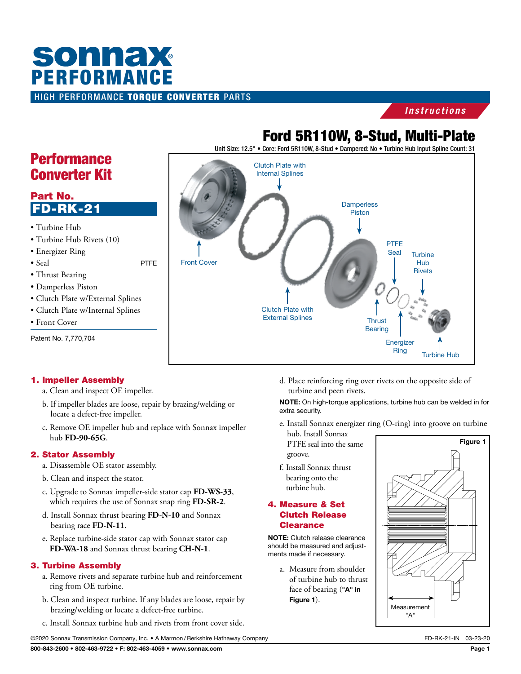# **sonnax** PERFORMANCEHIGH PERFORMANCE TORQUE CONVERTER PARTS

#### *Instructions*

## Ford 5R110W, 8-Stud, Multi-Plate

Unit Size: 12.5" • Core: Ford 5R110W, 8-Stud • Dampered: No • Turbine Hub Input Spline Count: 31



## **Performance** Converter Kit

### Part No. FD-RK-21

- Turbine Hub
- Turbine Hub Rivets (10)
- Energizer Ring
- Seal PTFE
- Thrust Bearing
- Damperless Piston
- Clutch Plate w/External Splines
- Clutch Plate w/Internal Splines
- Front Cover

Patent No. 7,770,704

#### 1. Impeller Assembly

- a. Clean and inspect OE impeller.
- b. If impeller blades are loose, repair by brazing/welding or locate a defect-free impeller.
- c. Remove OE impeller hub and replace with Sonnax impeller hub **FD-90-65G**.

#### 2. Stator Assembly

- a. Disassemble OE stator assembly.
- b. Clean and inspect the stator.
- c. Upgrade to Sonnax impeller-side stator cap **FD-WS-33**, which requires the use of Sonnax snap ring **FD-SR-2**.
- d. Install Sonnax thrust bearing **FD-N-10** and Sonnax bearing race **FD-N-11**.
- e. Replace turbine-side stator cap with Sonnax stator cap **FD-WA-18** and Sonnax thrust bearing **CH-N-1**.

#### 3. Turbine Assembly

- a. Remove rivets and separate turbine hub and reinforcement ring from OE turbine.
- b. Clean and inspect turbine. If any blades are loose, repair by brazing/welding or locate a defect-free turbine.
- c. Install Sonnax turbine hub and rivets from front cover side.

d. Place reinforcing ring over rivets on the opposite side of turbine and peen rivets.

NOTE: On high-torque applications, turbine hub can be welded in for extra security.

e. Install Sonnax energizer ring (O-ring) into groove on turbine

hub. Install Sonnax PTFE seal into the same groove.

f. Install Sonnax thrust bearing onto the turbine hub.

#### 4. Measure & Set Clutch Release **Clearance**

NOTE: Clutch release clearance should be measured and adjustments made if necessary.

> a. Measure from shoulder of turbine hub to thrust face of bearing ("A" in Figure 1).